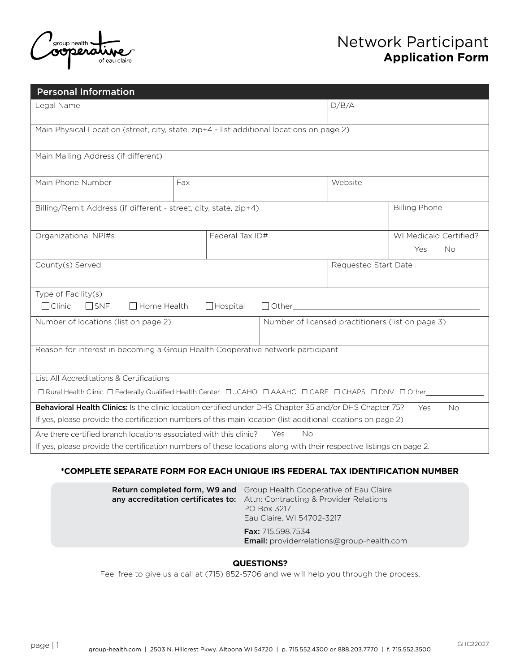

| <b>Personal Information</b>                                                                                           |                 |                      |                        |           |  |
|-----------------------------------------------------------------------------------------------------------------------|-----------------|----------------------|------------------------|-----------|--|
| Legal Name                                                                                                            |                 |                      | D/B/A                  |           |  |
| Main Physical Location (street, city, state, zip+4 - list additional locations on page 2)                             |                 |                      |                        |           |  |
| Main Mailing Address (if different)                                                                                   |                 |                      |                        |           |  |
| Main Phone Number                                                                                                     | Fax             |                      | Website                |           |  |
| <b>Billing Phone</b><br>Billing/Remit Address (if different - street, city, state, zip+4)                             |                 |                      |                        |           |  |
| Organizational NPI#s                                                                                                  | Federal Tax ID# |                      | WI Medicaid Certified? |           |  |
|                                                                                                                       |                 |                      |                        | Yes<br>No |  |
| County(s) Served                                                                                                      |                 | Requested Start Date |                        |           |  |
| Type of Facility(s)<br>$\Box$ Clinic<br>$\square$ SNF<br>$\Box$ Home Health<br>$\Box$ Hospital<br>$\Box$ Other        |                 |                      |                        |           |  |
| Number of locations (list on page 2)<br>Number of licensed practitioners (list on page 3)                             |                 |                      |                        |           |  |
| Reason for interest in becoming a Group Health Cooperative network participant                                        |                 |                      |                        |           |  |
| List All Accreditations & Certifications                                                                              |                 |                      |                        |           |  |
| □ Rural Health Clinic □ Federally Qualified Health Center □ JCAHO □ AAAHC □ CARF □ CHAPS □ DNV □ Other                |                 |                      |                        |           |  |
| Behavioral Health Clinics: Is the clinic location certified under DHS Chapter 35 and/or DHS Chapter 75?<br>Yes<br>No. |                 |                      |                        |           |  |
| If yes, please provide the certification numbers of this main location (list additional locations on page 2)          |                 |                      |                        |           |  |
| Yes<br><b>No</b><br>Are there certified branch locations associated with this clinic?                                 |                 |                      |                        |           |  |
| If yes, please provide the certification numbers of these locations along with their respective listings on page 2.   |                 |                      |                        |           |  |

#### **\*COMPLETE SEPARATE FORM FOR EACH UNIQUE IRS FEDERAL TAX IDENTIFICATION NUMBER**

| <b>Return completed form, W9 and</b> Group Health Cooperative of Eau Claire<br>any accreditation certificates to: Attn: Contracting & Provider Relations<br>PO Box 3217<br>Eau Claire, WI 54702-3217 |  |
|------------------------------------------------------------------------------------------------------------------------------------------------------------------------------------------------------|--|
| <b>Fax:</b> 715.598.7534<br><b>Email:</b> providerrelations@group-health.com                                                                                                                         |  |

#### **QUESTIONS?**

Feel free to give us a call at (715) 852-5706 and we will help you through the process.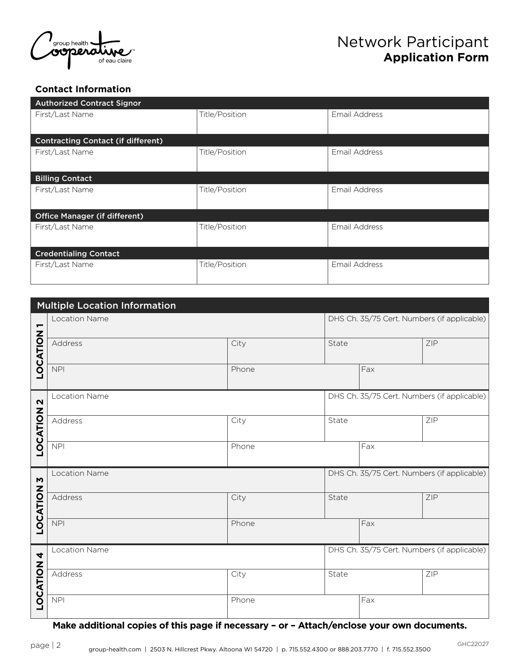

#### **Contact Information**

| <b>Authorized Contract Signor</b>         |                |               |  |  |  |
|-------------------------------------------|----------------|---------------|--|--|--|
| First/Last Name                           | Title/Position | Email Address |  |  |  |
|                                           |                |               |  |  |  |
| <b>Contracting Contact (if different)</b> |                |               |  |  |  |
| First/Last Name                           | Title/Position | Email Address |  |  |  |
|                                           |                |               |  |  |  |
| <b>Billing Contact</b>                    |                |               |  |  |  |
| First/Last Name                           | Title/Position | Email Address |  |  |  |
|                                           |                |               |  |  |  |
| <b>Office Manager (if different)</b>      |                |               |  |  |  |
| First/Last Name                           | Title/Position | Email Address |  |  |  |
|                                           |                |               |  |  |  |
| <b>Credentialing Contact</b>              |                |               |  |  |  |
| First/Last Name                           | Title/Position | Email Address |  |  |  |
|                                           |                |               |  |  |  |

| <b>Multiple Location Information</b> |                      |       |                                             |                                             |                                             |
|--------------------------------------|----------------------|-------|---------------------------------------------|---------------------------------------------|---------------------------------------------|
| $\overline{\phantom{0}}$             | Location Name        |       | DHS Ch. 35/75 Cert. Numbers (if applicable) |                                             |                                             |
| LOCATION                             | Address              | City  | State                                       |                                             | ZIP                                         |
|                                      | <b>NPI</b>           | Phone |                                             | Fax                                         |                                             |
| $\boldsymbol{\mathsf{N}}$            | Location Name        |       |                                             | DHS Ch. 35/75 Cert. Numbers (if applicable) |                                             |
| LOCATION                             | Address              | City  | State                                       |                                             | ZIP                                         |
|                                      | <b>NPI</b>           | Phone |                                             | Fax                                         |                                             |
| $\mathbf{M}$                         | Location Name        |       |                                             | DHS Ch. 35/75 Cert. Numbers (if applicable) |                                             |
| LOCATION                             | Address              | City  | State                                       |                                             | ZIP                                         |
|                                      | <b>NPI</b>           | Phone |                                             | Fax                                         |                                             |
| 4                                    | <b>Location Name</b> |       |                                             |                                             | DHS Ch. 35/75 Cert. Numbers (if applicable) |
| LOCATION                             | Address              | City  | State                                       |                                             | ZIP                                         |
|                                      | <b>NPI</b>           | Phone |                                             | Fax                                         |                                             |

**Make additional copies of this page if necessary – or – Attach/enclose your own documents.**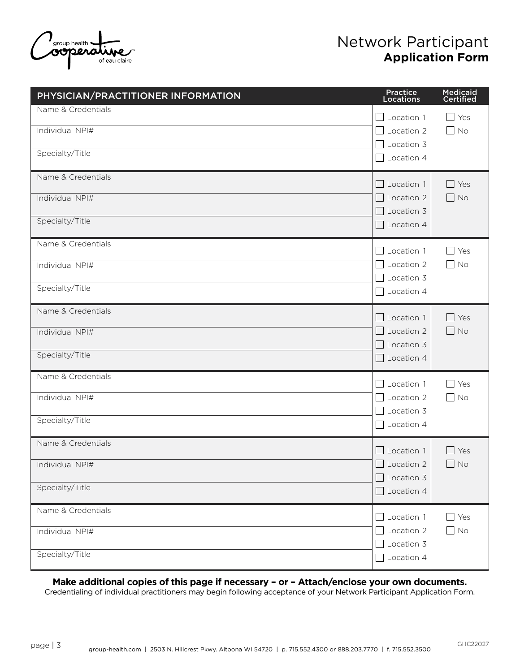

| PHYSICIAN/PRACTITIONER INFORMATION                       | Practice<br>Locations                                                                        | Medicaid<br>Certified                         |
|----------------------------------------------------------|----------------------------------------------------------------------------------------------|-----------------------------------------------|
| Name & Credentials<br>Individual NPI#<br>Specialty/Title | $\Box$ Location 1<br>Location 2<br>$\blacksquare$<br>$\Box$ Location 3<br>Location 4         | Yes<br>$\blacksquare$<br>$\blacksquare$<br>No |
| Name & Credentials<br>Individual NPI#<br>Specialty/Title | $\Box$ Location 1<br>Location 2<br>$\mathbf{L}$<br>Location 3<br>$\sim$<br>$\Box$ Location 4 | $\Box$ Yes<br>$\Box$ No                       |
| Name & Credentials<br>Individual NPI#<br>Specialty/Title | Location 1<br>$\Box$<br>$\Box$ Location 2<br>Location 3<br>Location 4                        | $\blacksquare$<br>Yes<br>No<br>$\blacksquare$ |
| Name & Credentials<br>Individual NPI#<br>Specialty/Title | $\Box$ Location 1<br>Location 2<br>$\Box$<br>$\Box$ Location 3<br>Location 4                 | $\Box$ Yes<br>$\Box$ No                       |
| Name & Credentials<br>Individual NPI#<br>Specialty/Title | $\Box$ Location 1<br>$\Box$ Location 2<br>Location 3<br>Location 4                           | $\Box$ Yes<br>$\Box$ No                       |
| Name & Credentials<br>Individual NPI#<br>Specialty/Title | Location 1<br>$\Box$<br>Location 2<br>Location 3<br>Location 4                               | Yes<br>$\blacksquare$<br>No                   |
| Name & Credentials<br>Individual NPI#<br>Specialty/Title | $\Box$ Location 1<br>Location 2<br>$\mathcal{L}$<br>Location 3<br>$\Box$ Location 4          | $\Box$ Yes<br>$\Box$ No                       |

**Make additional copies of this page if necessary – or – Attach/enclose your own documents.**

Credentialing of individual practitioners may begin following acceptance of your Network Participant Application Form.